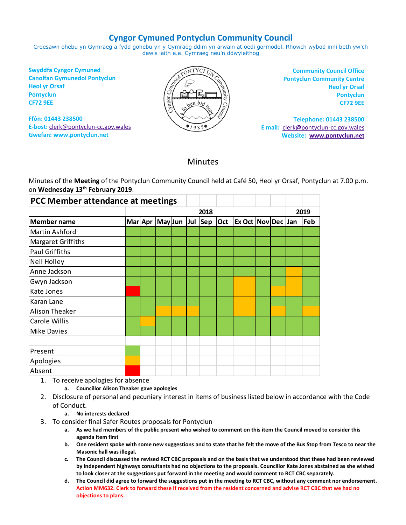# **Cyngor Cymuned Pontyclun Community Council**

Croesawn ohebu yn Gymraeg a fydd gohebu yn y Gymraeg ddim yn arwain at oedi gormodol. Rhowch wybod inni beth yw'ch dewis iaith e.e. Cymraeg neu'n ddwyieithog

**Swyddfa Cyngor Cymuned Canolfan Gymunedol Pontyclun Heol yr Orsaf Pontyclun CF72 9EE**

**Ffôn: 01443 238500 E-bost:** [clerk@pontyclun-cc.gov.wales](mailto:clerk@pontyclun-cc.gov.wales) **Gwefan[: www.pontyclun.net](http://www.pontyclun.net/)** 



**Community Council Office Pontyclun Community Centre Heol yr Orsaf Pontyclun CF72 9EE**

**Telephone: 01443 238500 E mail:** [clerk@pontyclun-cc.gov.wales](mailto:clerk@pontyclun-cc.gov.wales)  **Website: [www.pontyclun.net](http://www.pontyclun.net/)**

# **Minutes**

Minutes of the **Meeting** of the Pontyclun Community Council held at Café 50, Heol yr Orsaf, Pontyclun at 7.00 p.m. on **Wednesday 13th February 2019**.

| PCC Member attendance at meetings |      |         |                 |  |  |  |     |                           |  |  |      |     |
|-----------------------------------|------|---------|-----------------|--|--|--|-----|---------------------------|--|--|------|-----|
|                                   | 2018 |         |                 |  |  |  |     |                           |  |  | 2019 |     |
| <b>Member name</b>                |      | Mar Apr | May Jun Jul Sep |  |  |  | Oct | <b>Ex Oct Nov Dec Jan</b> |  |  |      | Feb |
| Martin Ashford                    |      |         |                 |  |  |  |     |                           |  |  |      |     |
| Margaret Griffiths                |      |         |                 |  |  |  |     |                           |  |  |      |     |
| <b>Paul Griffiths</b>             |      |         |                 |  |  |  |     |                           |  |  |      |     |
| Neil Holley                       |      |         |                 |  |  |  |     |                           |  |  |      |     |
| Anne Jackson                      |      |         |                 |  |  |  |     |                           |  |  |      |     |
| Gwyn Jackson                      |      |         |                 |  |  |  |     |                           |  |  |      |     |
| Kate Jones                        |      |         |                 |  |  |  |     |                           |  |  |      |     |
| Karan Lane                        |      |         |                 |  |  |  |     |                           |  |  |      |     |
| Alison Theaker                    |      |         |                 |  |  |  |     |                           |  |  |      |     |
| Carole Willis                     |      |         |                 |  |  |  |     |                           |  |  |      |     |
| <b>Mike Davies</b>                |      |         |                 |  |  |  |     |                           |  |  |      |     |
|                                   |      |         |                 |  |  |  |     |                           |  |  |      |     |
| Present                           |      |         |                 |  |  |  |     |                           |  |  |      |     |
| Apologies                         |      |         |                 |  |  |  |     |                           |  |  |      |     |
| Absent                            |      |         |                 |  |  |  |     |                           |  |  |      |     |

1. To receive apologies for absence

**a. Councillor Alison Theaker gave apologies**

2. Disclosure of personal and pecuniary interest in items of business listed below in accordance with the Code of Conduct.

#### **a. No interests declared**

- 3. To consider final Safer Routes proposals for Pontyclun
	- **a. As we had members of the public present who wished to comment on this item the Council moved to consider this agenda item first**
	- **b. One resident spoke with some new suggestions and to state that he felt the move of the Bus Stop from Tesco to near the Masonic hall was illegal.**
	- **c. The Council discussed the revised RCT CBC proposals and on the basis that we understood that these had been reviewed by independent highways consultants had no objections to the proposals. Councillor Kate Jones abstained as she wished to look closer at the suggestions put forward in the meeting and would comment to RCT CBC separately.**
	- **d. The Council did agree to forward the suggestions put in the meeting to RCT CBC, without any comment nor endorsement. Action MM632. Clerk to forward these if received from the resident concerned and advise RCT CBC that we had no objections to plans.**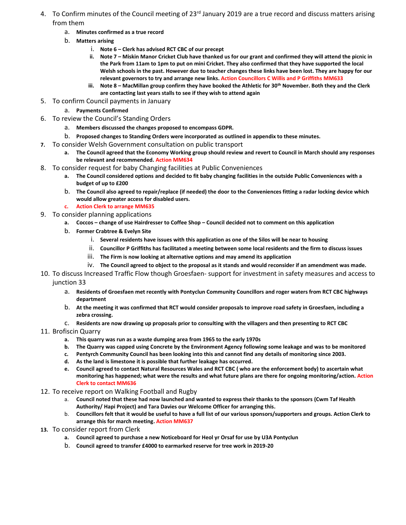- 4. To Confirm minutes of the Council meeting of 23<sup>rd</sup> January 2019 are a true record and discuss matters arising from them
	- a. **Minutes confirmed as a true record**
	- b. **Matters arising**
		- i. **Note 6 – Clerk has advised RCT CBC of our precept**
		- **ii. Note 7 – Miskin Manor Cricket Club have thanked us for our grant and confirmed they will attend the picnic in the Park from 11am to 1pm to put on mini Cricket. They also confirmed that they have supported the local Welsh schools in the past. However due to teacher changes these links have been lost. They are happy for our relevant governors to try and arrange new links. Action Councillors C Willis and P Griffiths MM633**
		- **iii. Note 8 – MacMillan group confirm they have booked the Athletic for 30th November. Both they and the Clerk are contacting last years stalls to see if they wish to attend again**
- 5. To confirm Council payments in January
	- a. **Payments Confirmed**
- 6. To review the Council's Standing Orders
	- a. **Members discussed the changes proposed to encompass GDPR.**
	- b. **Proposed changes to Standing Orders were incorporated as outlined in appendix to these minutes.**
- **7.** To consider Welsh Government consultation on public transport
	- **a. The Council agreed that the Economy Working group should review and revert to Council in March should any responses be relevant and recommended. Action MM634**
- 8. To consider request for baby Changing facilities at Public Conveniences
	- **a. The Council considered options and decided to fit baby changing facilities in the outside Public Conveniences with a budget of up to £200**
	- b. **The Council also agreed to repair/replace (if needed) the door to the Conveniences fitting a radar locking device which would allow greater access for disabled users.**
	- **c. Action Clerk to arrange MM635**
- 9. To consider planning applications
	- **a. Coccos – change of use Hairdresser to Coffee Shop – Council decided not to comment on this application**
	- b. **Former Crabtree & Evelyn Site**
		- i. **Several residents have issues with this application as one of the Silos will be near to housing**
		- ii. **Councillor P Griffiths has facilitated a meeting between some local residents and the firm to discuss issues**
		- iii. **The Firm is now looking at alternative options and may amend its application**
		- iv. **The Council agreed to object to the proposal as it stands and would reconsider if an amendment was made.**
- 10. To discuss Increased Traffic Flow though Groesfaen- support for investment in safety measures and access to junction 33
	- a. **Residents of Groesfaen met recently with Pontyclun Community Councillors and roger waters from RCT CBC highways department**
	- b. **At the meeting it was confirmed that RCT would consider proposals to improve road safety in Groesfaen, including a zebra crossing.**
	- c. **Residents are now drawing up proposals prior to consulting with the villagers and then presenting to RCT CBC**

### 11. Brofiscin Quarry

- **a. This quarry was run as a waste dumping area from 1965 to the early 1970s**
- **b. The Quarry was capped using Concrete by the Environment Agency following some leakage and was to be monitored**
- **c. Pentyrch Community Council has been looking into this and cannot find any details of monitoring since 2003.**
- **d. As the land is limestone it is possible that further leakage has occurred.**
- **e. Council agreed to contact Natural Resources Wales and RCT CBC ( who are the enforcement body) to ascertain what monitoring has happened; what were the results and what future plans are there for ongoing monitoring/action. Action Clerk to contact MM636**
- 12. To receive report on Walking Football and Rugby
	- a. **Council noted that these had now launched and wanted to express their thanks to the sponsors (Cwm Taf Health Authority/ Hapi Project) and Tara Davies our Welcome Officer for arranging this.**
	- b. **Councillors felt that it would be useful to have a full list of our various sponsors/supporters and groups. Action Clerk to arrange this for march meeting. Action MM637**
- **13.** To consider report from Clerk
	- **a. Council agreed to purchase a new Noticeboard for Heol yr Orsaf for use by U3A Pontyclun**
	- b. **Council agreed to transfer £4000 to earmarked reserve for tree work in 2019-20**